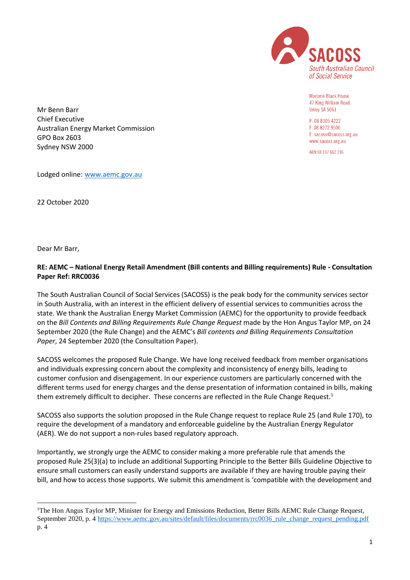

Mariorie Black House 47 King William Road Unley SA 5061

P 08 8305 4222 F. 08 8272 9500 E. sacoss@sacoss.org.au www.sacoss.org.au

ABN 93 197 662 296

Mr Benn Barr Chief Executive Australian Energy Market Commission GPO Box 2603 Sydney NSW 2000

Lodged online: [www.aemc.gov.au](http://www.aemc.gov.au/)

22 October 2020

Dear Mr Barr,

<u>.</u>

# **RE: AEMC – National Energy Retail Amendment (Bill contents and Billing requirements) Rule - Consultation Paper Ref: RRC0036**

The South Australian Council of Social Services (SACOSS) is the peak body for the community services sector in South Australia, with an interest in the efficient delivery of essential services to communities across the state. We thank the Australian Energy Market Commission (AEMC) for the opportunity to provide feedback on the *Bill Contents and Billing Requirements Rule Change Request* made by the Hon Angus Taylor MP, on 24 September 2020 (the Rule Change) and the AEMC's *Bill contents and Billing Requirements Consultation Paper*, 24 September 2020 (the Consultation Paper).

SACOSS welcomes the proposed Rule Change. We have long received feedback from member organisations and individuals expressing concern about the complexity and inconsistency of energy bills, leading to customer confusion and disengagement. In our experience customers are particularly concerned with the different terms used for energy charges and the dense presentation of information contained in bills, making them extremely difficult to decipher. These concerns are reflected in the Rule Change Request.<sup>1</sup>

SACOSS also supports the solution proposed in the Rule Change request to replace Rule 25 (and Rule 170), to require the development of a mandatory and enforceable guideline by the Australian Energy Regulator (AER). We do not support a non-rules based regulatory approach.

Importantly, we strongly urge the AEMC to consider making a more preferable rule that amends the proposed Rule 25(3)(a) to include an additional Supporting Principle to the Better Bills Guideline Objective to ensure small customers can easily understand supports are available if they are having trouble paying their bill, and how to access those supports. We submit this amendment is 'compatible with the development and

<sup>&</sup>lt;sup>1</sup>The Hon Angus Taylor MP, Minister for Energy and Emissions Reduction, Better Bills AEMC Rule Change Request, September 2020, p. 4 [https://www.aemc.gov.au/sites/default/files/documents/rrc0036\\_rule\\_change\\_request\\_pending.pdf](https://www.aemc.gov.au/sites/default/files/documents/rrc0036_rule_change_request_pending.pdf) p. 4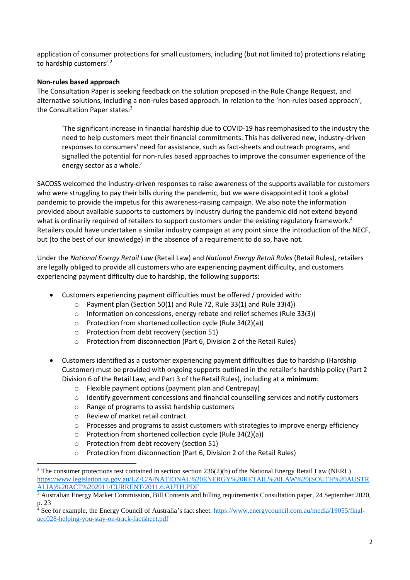application of consumer protections for small customers, including (but not limited to) protections relating to hardship customers'.<sup>2</sup>

### **Non-rules based approach**

The Consultation Paper is seeking feedback on the solution proposed in the Rule Change Request, and alternative solutions, including a non-rules based approach. In relation to the 'non-rules based approach', the Consultation Paper states:<sup>3</sup>

'The significant increase in financial hardship due to COVID-19 has reemphasised to the industry the need to help customers meet their financial commitments. This has delivered new, industry-driven responses to consumers' need for assistance, such as fact-sheets and outreach programs, and signalled the potential for non-rules based approaches to improve the consumer experience of the energy sector as a whole.'

SACOSS welcomed the industry-driven responses to raise awareness of the supports available for customers who were struggling to pay their bills during the pandemic, but we were disappointed it took a global pandemic to provide the impetus for this awareness-raising campaign. We also note the information provided about available supports to customers by industry during the pandemic did not extend beyond what is ordinarily required of retailers to support customers under the existing regulatory framework.<sup>4</sup> Retailers could have undertaken a similar industry campaign at any point since the introduction of the NECF, but (to the best of our knowledge) in the absence of a requirement to do so, have not.

Under the *National Energy Retail Law* (Retail Law) and *National Energy Retail Rules* (Retail Rules), retailers are legally obliged to provide all customers who are experiencing payment difficulty, and customers experiencing payment difficulty due to hardship, the following supports:

- Customers experiencing payment difficulties must be offered / provided with:
	- o Payment plan (Section 50(1) and Rule 72, Rule 33(1) and Rule 33(4))
	- $\circ$  Information on concessions, energy rebate and relief schemes (Rule 33(3))
	- o Protection from shortened collection cycle (Rule 34(2)(a))
	- o Protection from debt recovery (section 51)
	- o Protection from disconnection (Part 6, Division 2 of the Retail Rules)
- Customers identified as a customer experiencing payment difficulties due to hardship (Hardship Customer) must be provided with ongoing supports outlined in the retailer's hardship policy (Part 2 Division 6 of the Retail Law, and Part 3 of the Retail Rules), including at a **minimum**:
	- o Flexible payment options (payment plan and Centrepay)
	- o Identify government concessions and financial counselling services and notify customers
	- o Range of programs to assist hardship customers
	- o Review of market retail contract

1

- o Processes and programs to assist customers with strategies to improve energy efficiency
- o Protection from shortened collection cycle (Rule 34(2)(a))
- o Protection from debt recovery (section 51)
- o Protection from disconnection (Part 6, Division 2 of the Retail Rules)

 $2$  The consumer protections test contained in section section 236(2)(b) of the National Energy Retail Law (NERL) [https://www.legislation.sa.gov.au/LZ/C/A/NATIONAL%20ENERGY%20RETAIL%20LAW%20\(SOUTH%20AUSTR](https://www.legislation.sa.gov.au/LZ/C/A/NATIONAL%20ENERGY%20RETAIL%20LAW%20(SOUTH%20AUSTRALIA)%20ACT%202011/CURRENT/2011.6.AUTH.PDF) [ALIA\)%20ACT%202011/CURRENT/2011.6.AUTH.PDF](https://www.legislation.sa.gov.au/LZ/C/A/NATIONAL%20ENERGY%20RETAIL%20LAW%20(SOUTH%20AUSTRALIA)%20ACT%202011/CURRENT/2011.6.AUTH.PDF)

<sup>&</sup>lt;sup>3</sup> Australian Energy Market Commission, Bill Contents and billing requirements Consultation paper, 24 September 2020, p. 23

 $\frac{4}{4}$  See for example, the Energy Council of Australia's fact sheet: [https://www.energycouncil.com.au/media/19055/final](https://www.energycouncil.com.au/media/19055/final-aec028-helping-you-stay-on-track-factsheet.pdf)[aec028-helping-you-stay-on-track-factsheet.pdf](https://www.energycouncil.com.au/media/19055/final-aec028-helping-you-stay-on-track-factsheet.pdf)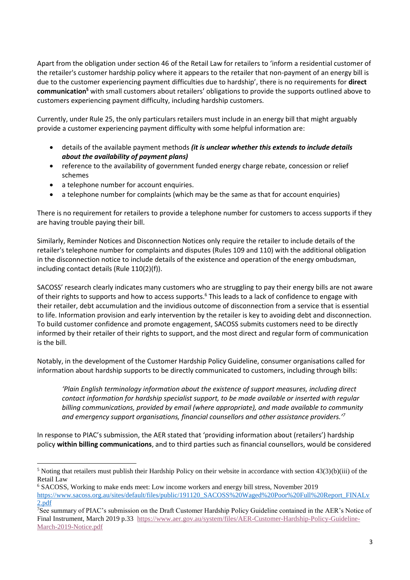Apart from the obligation under section 46 of the Retail Law for retailers to 'inform a residential customer of the retailer's customer hardship policy where it appears to the retailer that non-payment of an energy bill is due to the customer experiencing payment difficulties due to hardship', there is no requirements for **direct communication<sup>5</sup>** with small customers about retailers' obligations to provide the supports outlined above to customers experiencing payment difficulty, including hardship customers.

Currently, under Rule 25, the only particulars retailers must include in an energy bill that might arguably provide a customer experiencing payment difficulty with some helpful information are:

- details of the available payment methods *(it is unclear whether this extends to include details about the availability of payment plans)*
- reference to the availability of government funded energy charge rebate, concession or relief schemes
- a telephone number for account enquiries.

1

• a telephone number for complaints (which may be the same as that for account enquiries)

There is no requirement for retailers to provide a telephone number for customers to access supports if they are having trouble paying their bill.

Similarly, Reminder Notices and Disconnection Notices only require the retailer to include details of the retailer's telephone number for complaints and disputes (Rules 109 and 110) with the additional obligation in the disconnection notice to include details of the existence and operation of the energy ombudsman, including contact details (Rule 110(2)(f)).

SACOSS' research clearly indicates many customers who are struggling to pay their energy bills are not aware of their rights to supports and how to access supports.<sup>6</sup> This leads to a lack of confidence to engage with their retailer, debt accumulation and the invidious outcome of disconnection from a service that is essential to life. Information provision and early intervention by the retailer is key to avoiding debt and disconnection. To build customer confidence and promote engagement, SACOSS submits customers need to be directly informed by their retailer of their rights to support, and the most direct and regular form of communication is the bill.

Notably, in the development of the Customer Hardship Policy Guideline, consumer organisations called for information about hardship supports to be directly communicated to customers, including through bills:

*'Plain English terminology information about the existence of support measures, including direct contact information for hardship specialist support, to be made available or inserted with regular billing communications, provided by email (where appropriate), and made available to community and emergency support organisations, financial counsellors and other assistance providers.'<sup>7</sup>*

In response to PIAC's submission, the AER stated that 'providing information about (retailers') hardship policy **within billing communications**, and to third parties such as financial counsellors, would be considered

 $5$  Noting that retailers must publish their Hardship Policy on their website in accordance with section  $43(3)(b)(iii)$  of the Retail Law

<sup>6</sup> SACOSS, Working to make ends meet: Low income workers and energy bill stress, November 2019 [https://www.sacoss.org.au/sites/default/files/public/191120\\_SACOSS%20Waged%20Poor%20Full%20Report\\_FINALv](https://www.sacoss.org.au/sites/default/files/public/191120_SACOSS%20Waged%20Poor%20Full%20Report_FINALv2.pdf) [2.pdf](https://www.sacoss.org.au/sites/default/files/public/191120_SACOSS%20Waged%20Poor%20Full%20Report_FINALv2.pdf)

<sup>7</sup>See summary of PIAC's submission on the Draft Customer Hardship Policy Guideline contained in the AER's Notice of Final Instrument, March 2019 p.33 [https://www.aer.gov.au/system/files/AER-Customer-Hardship-Policy-Guideline-](https://www.aer.gov.au/system/files/AER-Customer-Hardship-Policy-Guideline-March-2019-Notice.pdf)[March-2019-Notice.pdf](https://www.aer.gov.au/system/files/AER-Customer-Hardship-Policy-Guideline-March-2019-Notice.pdf)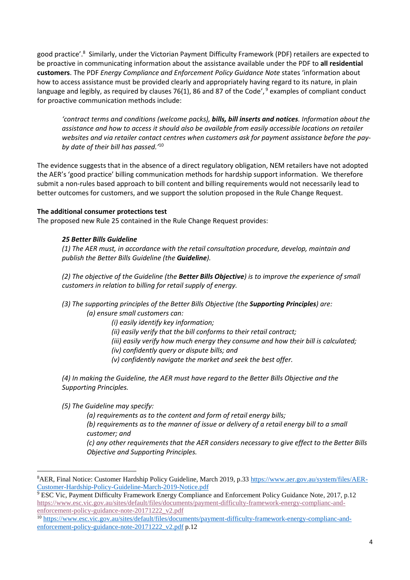good practice'.<sup>8</sup> Similarly, under the Victorian Payment Difficulty Framework (PDF) retailers are expected to be proactive in communicating information about the assistance available under the PDF to **all residential customers**. The PDF *Energy Compliance and Enforcement Policy Guidance Note* states 'information about how to access assistance must be provided clearly and appropriately having regard to its nature, in plain language and legibly, as required by clauses 76(1), 86 and 87 of the Code', <sup>9</sup> examples of compliant conduct for proactive communication methods include:

*'contract terms and conditions (welcome packs), bills, bill inserts and notices. Information about the assistance and how to access it should also be available from easily accessible locations on retailer websites and via retailer contact centres when customers ask for payment assistance before the payby date of their bill has passed.'*<sup>10</sup>

The evidence suggests that in the absence of a direct regulatory obligation, NEM retailers have not adopted the AER's 'good practice' billing communication methods for hardship support information. We therefore submit a non-rules based approach to bill content and billing requirements would not necessarily lead to better outcomes for customers, and we support the solution proposed in the Rule Change Request.

### **The additional consumer protections test**

The proposed new Rule 25 contained in the Rule Change Request provides:

### *25 Better Bills Guideline*

*(1) The AER must, in accordance with the retail consultation procedure, develop, maintain and publish the Better Bills Guideline (the Guideline).*

*(2) The objective of the Guideline (the Better Bills Objective) is to improve the experience of small customers in relation to billing for retail supply of energy.*

- *(3) The supporting principles of the Better Bills Objective (the Supporting Principles) are: (a) ensure small customers can:*
	- *(i) easily identify key information;*
	- *(ii) easily verify that the bill conforms to their retail contract;*
	- *(iii) easily verify how much energy they consume and how their bill is calculated;*
	- *(iv) confidently query or dispute bills; and*
	- *(v) confidently navigate the market and seek the best offer.*

*(4) In making the Guideline, the AER must have regard to the Better Bills Objective and the Supporting Principles.*

*(5) The Guideline may specify:*

1

*(a) requirements as to the content and form of retail energy bills; (b) requirements as to the manner of issue or delivery of a retail energy bill to a small customer; and* 

*(c) any other requirements that the AER considers necessary to give effect to the Better Bills Objective and Supporting Principles.*

<sup>8</sup>AER, Final Notice: Customer Hardship Policy Guideline, March 2019, p.33 [https://www.aer.gov.au/system/files/AER-](https://www.aer.gov.au/system/files/AER-Customer-Hardship-Policy-Guideline-March-2019-Notice.pdf)[Customer-Hardship-Policy-Guideline-March-2019-Notice.pdf](https://www.aer.gov.au/system/files/AER-Customer-Hardship-Policy-Guideline-March-2019-Notice.pdf)

<sup>9</sup> ESC Vic, Payment Difficulty Framework Energy Compliance and Enforcement Policy Guidance Note, 2017, p.12 [https://www.esc.vic.gov.au/sites/default/files/documents/payment-difficulty-framework-energy-complianc-and](https://www.esc.vic.gov.au/sites/default/files/documents/payment-difficulty-framework-energy-complianc-and-enforcement-policy-guidance-note-20171222_v2.pdf)[enforcement-policy-guidance-note-20171222\\_v2.pdf](https://www.esc.vic.gov.au/sites/default/files/documents/payment-difficulty-framework-energy-complianc-and-enforcement-policy-guidance-note-20171222_v2.pdf)

<sup>10</sup> [https://www.esc.vic.gov.au/sites/default/files/documents/payment-difficulty-framework-energy-complianc-and](https://www.esc.vic.gov.au/sites/default/files/documents/payment-difficulty-framework-energy-complianc-and-enforcement-policy-guidance-note-20171222_v2.pdf)[enforcement-policy-guidance-note-20171222\\_v2.pdf](https://www.esc.vic.gov.au/sites/default/files/documents/payment-difficulty-framework-energy-complianc-and-enforcement-policy-guidance-note-20171222_v2.pdf) p.12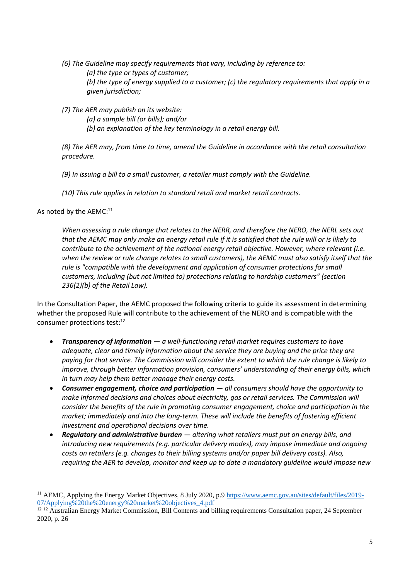- *(6) The Guideline may specify requirements that vary, including by reference to: (a) the type or types of customer; (b) the type of energy supplied to a customer; (c) the regulatory requirements that apply in a given jurisdiction;*
- *(7) The AER may publish on its website:*
	- *(a) a sample bill (or bills); and/or (b) an explanation of the key terminology in a retail energy bill.*

*(8) The AER may, from time to time, amend the Guideline in accordance with the retail consultation procedure.*

- *(9) In issuing a bill to a small customer, a retailer must comply with the Guideline.*
- *(10) This rule applies in relation to standard retail and market retail contracts.*

As noted by the AEMC:<sup>11</sup>

<u>.</u>

*When assessing a rule change that relates to the NERR, and therefore the NERO, the NERL sets out that the AEMC may only make an energy retail rule if it is satisfied that the rule will or is likely to contribute to the achievement of the national energy retail objective. However, where relevant (i.e. when the review or rule change relates to small customers), the AEMC must also satisfy itself that the rule is "compatible with the development and application of consumer protections for small customers, including (but not limited to) protections relating to hardship customers" (section 236(2)(b) of the Retail Law).*

In the Consultation Paper, the AEMC proposed the following criteria to guide its assessment in determining whether the proposed Rule will contribute to the achievement of the NERO and is compatible with the consumer protections test: 12

- *Transparency of information — a well-functioning retail market requires customers to have adequate, clear and timely information about the service they are buying and the price they are paying for that service. The Commission will consider the extent to which the rule change is likely to improve, through better information provision, consumers' understanding of their energy bills, which in turn may help them better manage their energy costs.*
- *Consumer engagement, choice and participation — all consumers should have the opportunity to make informed decisions and choices about electricity, gas or retail services. The Commission will consider the benefits of the rule in promoting consumer engagement, choice and participation in the market; immediately and into the long-term. These will include the benefits of fostering efficient investment and operational decisions over time.*
- *Regulatory and administrative burden — altering what retailers must put on energy bills, and introducing new requirements (e.g. particular delivery modes), may impose immediate and ongoing costs on retailers (e.g. changes to their billing systems and/or paper bill delivery costs). Also, requiring the AER to develop, monitor and keep up to date a mandatory guideline would impose new*

<sup>&</sup>lt;sup>11</sup> AEMC, Applying the Energy Market Objectives, 8 July 2020, p.9 [https://www.aemc.gov.au/sites/default/files/2019-](https://www.aemc.gov.au/sites/default/files/2019-07/Applying%20the%20energy%20market%20objectives_4.pdf) [07/Applying%20the%20energy%20market%20objectives\\_4.pdf](https://www.aemc.gov.au/sites/default/files/2019-07/Applying%20the%20energy%20market%20objectives_4.pdf)

<sup>&</sup>lt;sup>12 12</sup> Australian Energy Market Commission, Bill Contents and billing requirements Consultation paper, 24 September 2020, p. 26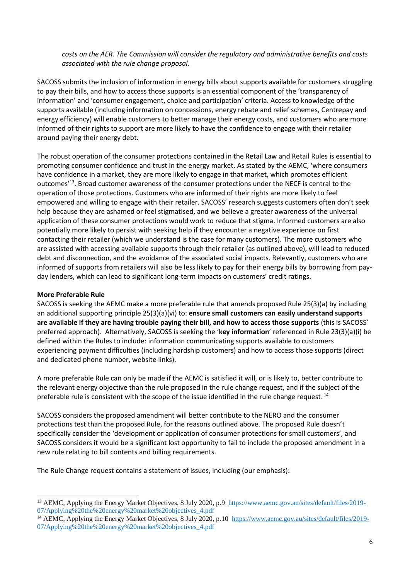*costs on the AER. The Commission will consider the regulatory and administrative benefits and costs associated with the rule change proposal.*

SACOSS submits the inclusion of information in energy bills about supports available for customers struggling to pay their bills, and how to access those supports is an essential component of the 'transparency of information' and 'consumer engagement, choice and participation' criteria. Access to knowledge of the supports available (including information on concessions, energy rebate and relief schemes, Centrepay and energy efficiency) will enable customers to better manage their energy costs, and customers who are more informed of their rights to support are more likely to have the confidence to engage with their retailer around paying their energy debt.

The robust operation of the consumer protections contained in the Retail Law and Retail Rules is essential to promoting consumer confidence and trust in the energy market. As stated by the AEMC, 'where consumers have confidence in a market, they are more likely to engage in that market, which promotes efficient outcomes<sup>'13</sup>. Broad customer awareness of the consumer protections under the NECF is central to the operation of those protections. Customers who are informed of their rights are more likely to feel empowered and willing to engage with their retailer. SACOSS' research suggests customers often don't seek help because they are ashamed or feel stigmatised, and we believe a greater awareness of the universal application of these consumer protections would work to reduce that stigma. Informed customers are also potentially more likely to persist with seeking help if they encounter a negative experience on first contacting their retailer (which we understand is the case for many customers). The more customers who are assisted with accessing available supports through their retailer (as outlined above), will lead to reduced debt and disconnection, and the avoidance of the associated social impacts. Relevantly, customers who are informed of supports from retailers will also be less likely to pay for their energy bills by borrowing from payday lenders, which can lead to significant long-term impacts on customers' credit ratings.

## **More Preferable Rule**

1

SACOSS is seeking the AEMC make a more preferable rule that amends proposed Rule 25(3)(a) by including an additional supporting principle 25(3)(a)(vi) to: **ensure small customers can easily understand supports are available if they are having trouble paying their bill, and how to access those supports** (this is SACOSS' preferred approach). Alternatively, SACOSS is seeking the '**key information**' referenced in Rule 23(3)(a)(i) be defined within the Rules to include: information communicating supports available to customers experiencing payment difficulties (including hardship customers) and how to access those supports (direct and dedicated phone number, website links).

A more preferable Rule can only be made if the AEMC is satisfied it will, or is likely to, better contribute to the relevant energy objective than the rule proposed in the rule change request, and if the subject of the preferable rule is consistent with the scope of the issue identified in the rule change request.<sup>14</sup>

SACOSS considers the proposed amendment will better contribute to the NERO and the consumer protections test than the proposed Rule, for the reasons outlined above. The proposed Rule doesn't specifically consider the 'development or application of consumer protections for small customers', and SACOSS considers it would be a significant lost opportunity to fail to include the proposed amendment in a new rule relating to bill contents and billing requirements.

The Rule Change request contains a statement of issues, including (our emphasis):

<sup>&</sup>lt;sup>13</sup> AEMC, Applying the Energy Market Objectives, 8 July 2020, p.9 [https://www.aemc.gov.au/sites/default/files/2019-](https://www.aemc.gov.au/sites/default/files/2019-07/Applying%20the%20energy%20market%20objectives_4.pdf) [07/Applying%20the%20energy%20market%20objectives\\_4.pdf](https://www.aemc.gov.au/sites/default/files/2019-07/Applying%20the%20energy%20market%20objectives_4.pdf)

<sup>&</sup>lt;sup>14</sup> AEMC, Applying the Energy Market Objectives, 8 July 2020, p.10 [https://www.aemc.gov.au/sites/default/files/2019-](https://www.aemc.gov.au/sites/default/files/2019-07/Applying%20the%20energy%20market%20objectives_4.pdf) [07/Applying%20the%20energy%20market%20objectives\\_4.pdf](https://www.aemc.gov.au/sites/default/files/2019-07/Applying%20the%20energy%20market%20objectives_4.pdf)